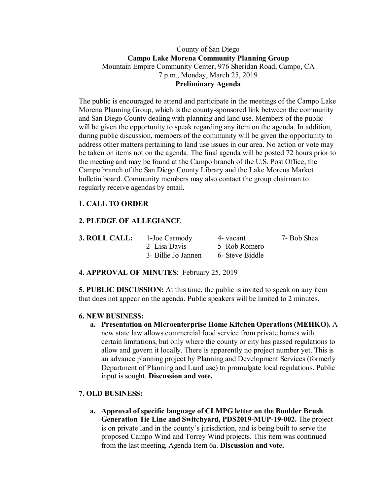## County of San Diego **Campo Lake Morena Community Planning Group** Mountain Empire Community Center, 976 Sheridan Road, Campo, CA 7 p.m., Monday, March 25, 2019 **Preliminary Agenda**

The public is encouraged to attend and participate in the meetings of the Campo Lake Morena Planning Group, which is the county-sponsored link between the community and San Diego County dealing with planning and land use. Members of the public will be given the opportunity to speak regarding any item on the agenda. In addition, during public discussion, members of the community will be given the opportunity to address other matters pertaining to land use issues in our area. No action or vote may be taken on items not on the agenda. The final agenda will be posted 72 hours prior to the meeting and may be found at the Campo branch of the U.S. Post Office, the Campo branch of the San Diego County Library and the Lake Morena Market bulletin board. Community members may also contact the group chairman to regularly receive agendas by email.

# **1. CALL TO ORDER**

# **2. PLEDGE OF ALLEGIANCE**

| <b>3. ROLL CALL:</b> | 1-Joe Carmody       | 4- vacant       | 7- Bob Shea |
|----------------------|---------------------|-----------------|-------------|
|                      | 2- Lisa Davis       | 5- Rob Romero   |             |
|                      | 3- Billie Jo Jannen | 6- Steve Biddle |             |

## **4. APPROVAL OF MINUTES**: February 25, 2019

**5. PUBLIC DISCUSSION:** At this time, the public is invited to speak on any item that does not appear on the agenda. Public speakers will be limited to 2 minutes.

### **6. NEW BUSINESS:**

**a. Presentation on Microenterprise Home Kitchen Operations (MEHKO).** A new state law allows commercial food service from private homes with certain limitations, but only where the county or city has passed regulations to allow and govern it locally. There is apparently no project number yet. This is an advance planning project by Planning and Development Services (formerly Department of Planning and Land use) to promulgate local regulations. Public input is sought. **Discussion and vote.**

### **7. OLD BUSINESS:**

**a. Approval of specific language of CLMPG letter on the Boulder Brush Generation Tie Line and Switchyard, PDS2019-MUP-19-002.** The project is on private land in the county's jurisdiction, and is being built to serve the proposed Campo Wind and Torrey Wind projects. This item was continued from the last meeting, Agenda Item 6a. **Discussion and vote.**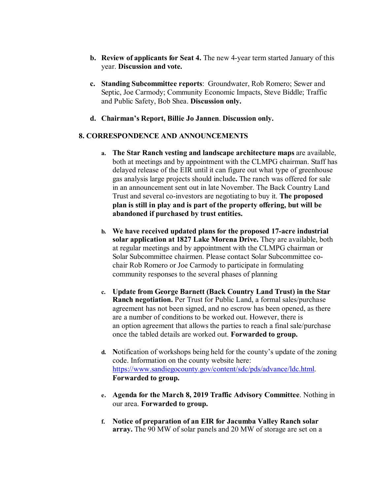- **b. Review of applicants for Seat 4.** The new 4-year term started January of this year. **Discussion and vote.**
- **c. Standing Subcommittee reports**: Groundwater, Rob Romero; Sewer and Septic, Joe Carmody; Community Economic Impacts, Steve Biddle; Traffic and Public Safety, Bob Shea. **Discussion only.**
- **d. Chairman's Report, Billie Jo Jannen**. **Discussion only.**

### **8. CORRESPONDENCE AND ANNOUNCEMENTS**

- **a. The Star Ranch vesting and landscape architecture maps** are available, both at meetings and by appointment with the CLMPG chairman. Staff has delayed release of the EIR until it can figure out what type of greenhouse gas analysis large projects should include**.** The ranch was offered for sale in an announcement sent out in late November. The Back Country Land Trust and several co-investors are negotiating to buy it. **The proposed plan is still in play and is part of the property offering, but will be abandoned if purchased by trust entities.**
- **b. We have received updated plans for the proposed 17-acre industrial solar application at 1827 Lake Morena Drive.** They are available, both at regular meetings and by appointment with the CLMPG chairman or Solar Subcommittee chairmen. Please contact Solar Subcommittee cochair Rob Romero or Joe Carmody to participate in formulating community responses to the several phases of planning
- **c. Update from George Barnett (Back Country Land Trust) in the Star Ranch negotiation.** Per Trust for Public Land, a formal sales/purchase agreement has not been signed, and no escrow has been opened, as there are a number of conditions to be worked out. However, there is an option agreement that allows the parties to reach a final sale/purchase once the tabled details are worked out. **Forwarded to group.**
- **d. N**otification of workshops being held for the county's update of the zoning code. Information on the county website here: https://www.sandiegocounty.gov/content/sdc/pds/advance/ldc.html. **Forwarded to group.**
- **e. Agenda for the March 8, 2019 Traffic Advisory Committee**. Nothing in our area. **Forwarded to group.**
- **f. Notice of preparation of an EIR for Jacumba Valley Ranch solar array.** The 90 MW of solar panels and 20 MW of storage are set on a